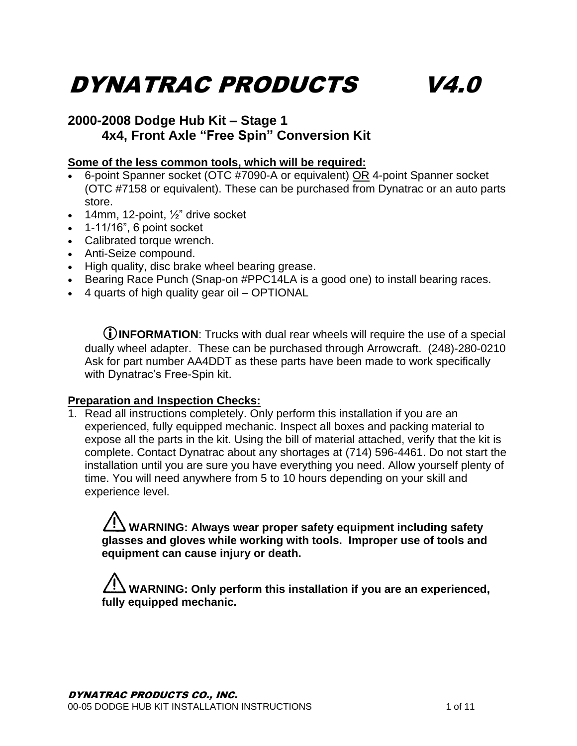# DYNATRAC PRODUCTS V4.0

#### **2000-2008 Dodge Hub Kit – Stage 1 4x4, Front Axle "Free Spin" Conversion Kit**

#### **Some of the less common tools, which will be required:**

- 6-point Spanner socket (OTC #7090-A or equivalent) OR 4-point Spanner socket (OTC #7158 or equivalent). These can be purchased from Dynatrac or an auto parts store.
- $\bullet$  14mm, 12-point,  $\frac{1}{2}$ " drive socket
- $\bullet$  1-11/16", 6 point socket
- Calibrated torque wrench.
- Anti-Seize compound.
- High quality, disc brake wheel bearing grease.
- Bearing Race Punch (Snap-on #PPC14LA is a good one) to install bearing races.
- 4 quarts of high quality gear oil OPTIONAL

**INFORMATION**: Trucks with dual rear wheels will require the use of a special dually wheel adapter. These can be purchased through Arrowcraft. (248)-280-0210 Ask for part number AA4DDT as these parts have been made to work specifically with Dynatrac's Free-Spin kit.

#### **Preparation and Inspection Checks:**

1. Read all instructions completely. Only perform this installation if you are an experienced, fully equipped mechanic. Inspect all boxes and packing material to expose all the parts in the kit. Using the bill of material attached, verify that the kit is complete. Contact Dynatrac about any shortages at (714) 596-4461. Do not start the installation until you are sure you have everything you need. Allow yourself plenty of time. You will need anywhere from 5 to 10 hours depending on your skill and experience level.

**WARNING: Always wear proper safety equipment including safety glasses and gloves while working with tools. Improper use of tools and equipment can cause injury or death.**

**WARNING: Only perform this installation if you are an experienced, fully equipped mechanic.**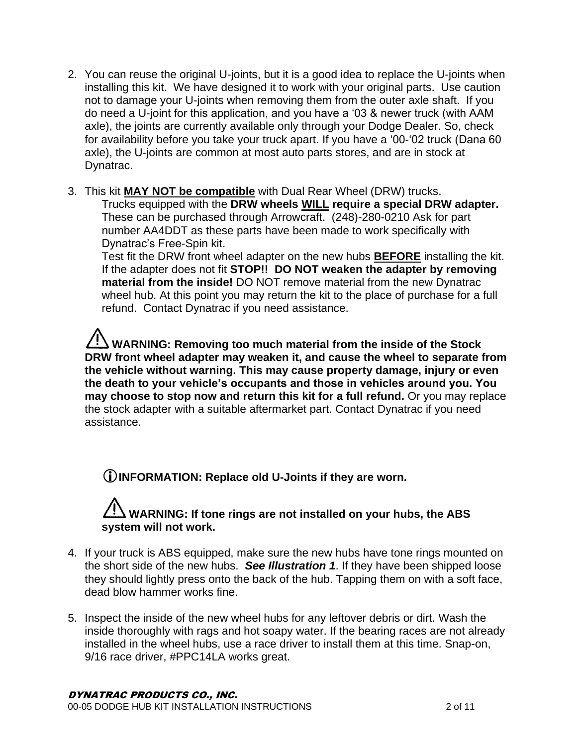- 2. You can reuse the original U-joints, but it is a good idea to replace the U-joints when installing this kit. We have designed it to work with your original parts. Use caution not to damage your U-joints when removing them from the outer axle shaft. If you do need a U-joint for this application, and you have a '03 & newer truck (with AAM axle), the joints are currently available only through your Dodge Dealer. So, check for availability before you take your truck apart. If you have a '00-'02 truck (Dana 60 axle), the U-joints are common at most auto parts stores, and are in stock at Dynatrac.
- 3. This kit **MAY NOT be compatible** with Dual Rear Wheel (DRW) trucks.

Trucks equipped with the **DRW wheels WILL require a special DRW adapter.**  These can be purchased through Arrowcraft. (248)-280-0210 Ask for part number AA4DDT as these parts have been made to work specifically with Dynatrac's Free-Spin kit.

Test fit the DRW front wheel adapter on the new hubs **BEFORE** installing the kit. If the adapter does not fit **STOP!! DO NOT weaken the adapter by removing material from the inside!** DO NOT remove material from the new Dynatrac wheel hub. At this point you may return the kit to the place of purchase for a full refund. Contact Dynatrac if you need assistance.

**WARNING: Removing too much material from the inside of the Stock DRW front wheel adapter may weaken it, and cause the wheel to separate from the vehicle without warning. This may cause property damage, injury or even the death to your vehicle's occupants and those in vehicles around you. You may choose to stop now and return this kit for a full refund.** Or you may replace the stock adapter with a suitable aftermarket part. Contact Dynatrac if you need assistance.

**INFORMATION: Replace old U-Joints if they are worn.**

### **WARNING: If tone rings are not installed on your hubs, the ABS system will not work.**

- 4. If your truck is ABS equipped, make sure the new hubs have tone rings mounted on the short side of the new hubs. *See Illustration 1*. If they have been shipped loose they should lightly press onto the back of the hub. Tapping them on with a soft face, dead blow hammer works fine.
- 5. Inspect the inside of the new wheel hubs for any leftover debris or dirt. Wash the inside thoroughly with rags and hot soapy water. If the bearing races are not already installed in the wheel hubs, use a race driver to install them at this time. Snap-on, 9/16 race driver, #PPC14LA works great.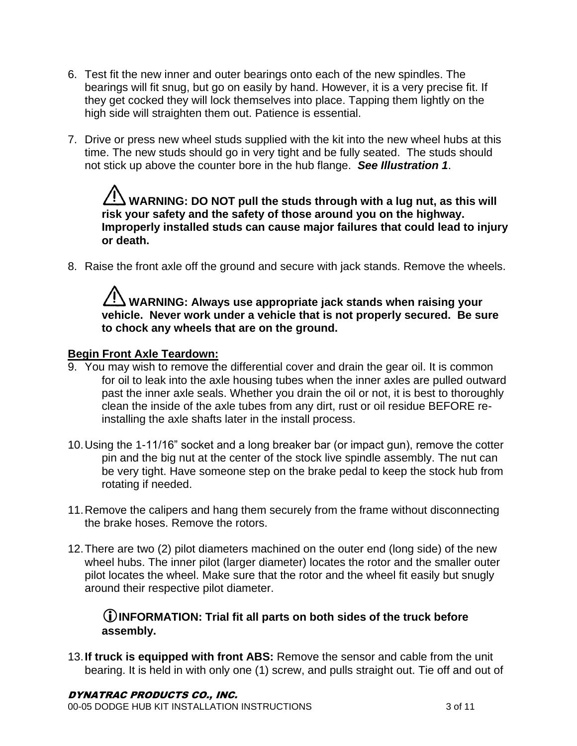- 6. Test fit the new inner and outer bearings onto each of the new spindles. The bearings will fit snug, but go on easily by hand. However, it is a very precise fit. If they get cocked they will lock themselves into place. Tapping them lightly on the high side will straighten them out. Patience is essential.
- 7. Drive or press new wheel studs supplied with the kit into the new wheel hubs at this time. The new studs should go in very tight and be fully seated. The studs should not stick up above the counter bore in the hub flange. *See Illustration 1*.

**WARNING: DO NOT pull the studs through with a lug nut, as this will risk your safety and the safety of those around you on the highway. Improperly installed studs can cause major failures that could lead to injury or death.**

8. Raise the front axle off the ground and secure with jack stands. Remove the wheels.

#### **WARNING: Always use appropriate jack stands when raising your vehicle. Never work under a vehicle that is not properly secured. Be sure to chock any wheels that are on the ground.**

#### **Begin Front Axle Teardown:**

- 9. You may wish to remove the differential cover and drain the gear oil. It is common for oil to leak into the axle housing tubes when the inner axles are pulled outward past the inner axle seals. Whether you drain the oil or not, it is best to thoroughly clean the inside of the axle tubes from any dirt, rust or oil residue BEFORE reinstalling the axle shafts later in the install process.
- 10.Using the 1-11/16" socket and a long breaker bar (or impact gun), remove the cotter pin and the big nut at the center of the stock live spindle assembly. The nut can be very tight. Have someone step on the brake pedal to keep the stock hub from rotating if needed.
- 11.Remove the calipers and hang them securely from the frame without disconnecting the brake hoses. Remove the rotors.
- 12.There are two (2) pilot diameters machined on the outer end (long side) of the new wheel hubs. The inner pilot (larger diameter) locates the rotor and the smaller outer pilot locates the wheel. Make sure that the rotor and the wheel fit easily but snugly around their respective pilot diameter.

#### **INFORMATION: Trial fit all parts on both sides of the truck before assembly.**

13.**If truck is equipped with front ABS:** Remove the sensor and cable from the unit bearing. It is held in with only one (1) screw, and pulls straight out. Tie off and out of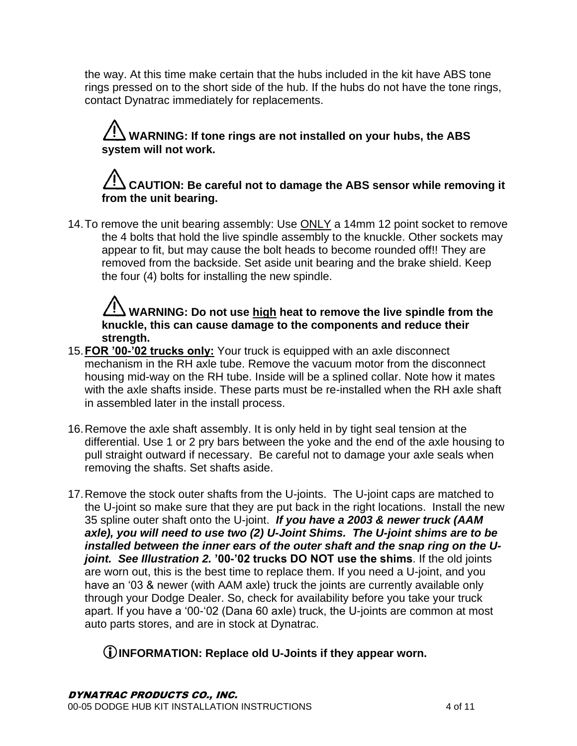the way. At this time make certain that the hubs included in the kit have ABS tone rings pressed on to the short side of the hub. If the hubs do not have the tone rings, contact Dynatrac immediately for replacements.

### **WARNING: If tone rings are not installed on your hubs, the ABS system will not work.**

### **CAUTION: Be careful not to damage the ABS sensor while removing it from the unit bearing.**

14. To remove the unit bearing assembly: Use ONLY a 14mm 12 point socket to remove the 4 bolts that hold the live spindle assembly to the knuckle. Other sockets may appear to fit, but may cause the bolt heads to become rounded off!! They are removed from the backside. Set aside unit bearing and the brake shield. Keep the four (4) bolts for installing the new spindle.

**WARNING: Do not use high heat to remove the live spindle from the knuckle, this can cause damage to the components and reduce their strength.**

- 15.**FOR '00-'02 trucks only:** Your truck is equipped with an axle disconnect mechanism in the RH axle tube. Remove the vacuum motor from the disconnect housing mid-way on the RH tube. Inside will be a splined collar. Note how it mates with the axle shafts inside. These parts must be re-installed when the RH axle shaft in assembled later in the install process.
- 16.Remove the axle shaft assembly. It is only held in by tight seal tension at the differential. Use 1 or 2 pry bars between the yoke and the end of the axle housing to pull straight outward if necessary. Be careful not to damage your axle seals when removing the shafts. Set shafts aside.
- 17. Remove the stock outer shafts from the U-joints. The U-joint caps are matched to the U-joint so make sure that they are put back in the right locations. Install the new 35 spline outer shaft onto the U-joint. *If you have a 2003 & newer truck (AAM axle), you will need to use two (2) U-Joint Shims. The U-joint shims are to be installed between the inner ears of the outer shaft and the snap ring on the Ujoint. See Illustration 2.* **'00-'02 trucks DO NOT use the shims**. If the old joints are worn out, this is the best time to replace them. If you need a U-joint, and you have an '03 & newer (with AAM axle) truck the joints are currently available only through your Dodge Dealer. So, check for availability before you take your truck apart. If you have a '00-'02 (Dana 60 axle) truck, the U-joints are common at most auto parts stores, and are in stock at Dynatrac.

#### **INFORMATION: Replace old U-Joints if they appear worn.**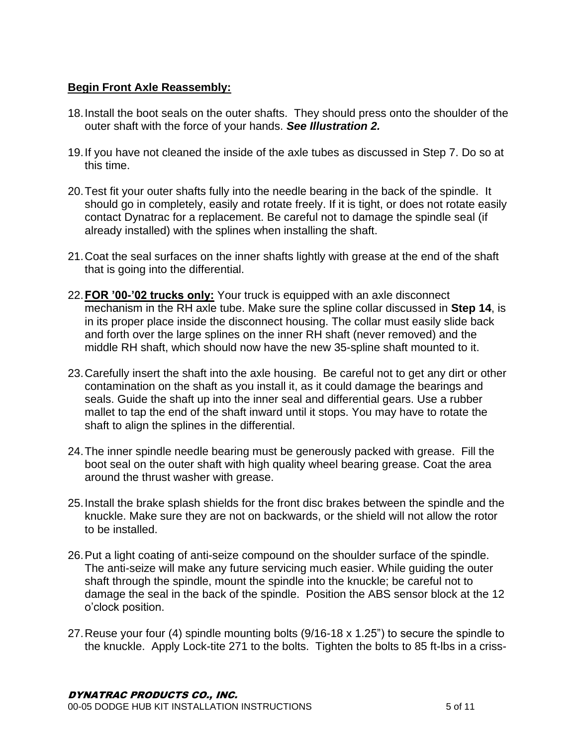#### **Begin Front Axle Reassembly:**

- 18.Install the boot seals on the outer shafts. They should press onto the shoulder of the outer shaft with the force of your hands. *See Illustration 2.*
- 19.If you have not cleaned the inside of the axle tubes as discussed in Step 7. Do so at this time.
- 20.Test fit your outer shafts fully into the needle bearing in the back of the spindle. It should go in completely, easily and rotate freely. If it is tight, or does not rotate easily contact Dynatrac for a replacement. Be careful not to damage the spindle seal (if already installed) with the splines when installing the shaft.
- 21.Coat the seal surfaces on the inner shafts lightly with grease at the end of the shaft that is going into the differential.
- 22.**FOR '00-'02 trucks only:** Your truck is equipped with an axle disconnect mechanism in the RH axle tube. Make sure the spline collar discussed in **Step 14**, is in its proper place inside the disconnect housing. The collar must easily slide back and forth over the large splines on the inner RH shaft (never removed) and the middle RH shaft, which should now have the new 35-spline shaft mounted to it.
- 23.Carefully insert the shaft into the axle housing. Be careful not to get any dirt or other contamination on the shaft as you install it, as it could damage the bearings and seals. Guide the shaft up into the inner seal and differential gears. Use a rubber mallet to tap the end of the shaft inward until it stops. You may have to rotate the shaft to align the splines in the differential.
- 24.The inner spindle needle bearing must be generously packed with grease. Fill the boot seal on the outer shaft with high quality wheel bearing grease. Coat the area around the thrust washer with grease.
- 25.Install the brake splash shields for the front disc brakes between the spindle and the knuckle. Make sure they are not on backwards, or the shield will not allow the rotor to be installed.
- 26.Put a light coating of anti-seize compound on the shoulder surface of the spindle. The anti-seize will make any future servicing much easier. While guiding the outer shaft through the spindle, mount the spindle into the knuckle; be careful not to damage the seal in the back of the spindle. Position the ABS sensor block at the 12 o'clock position.
- 27.Reuse your four (4) spindle mounting bolts (9/16-18 x 1.25") to secure the spindle to the knuckle. Apply Lock-tite 271 to the bolts. Tighten the bolts to 85 ft-lbs in a criss-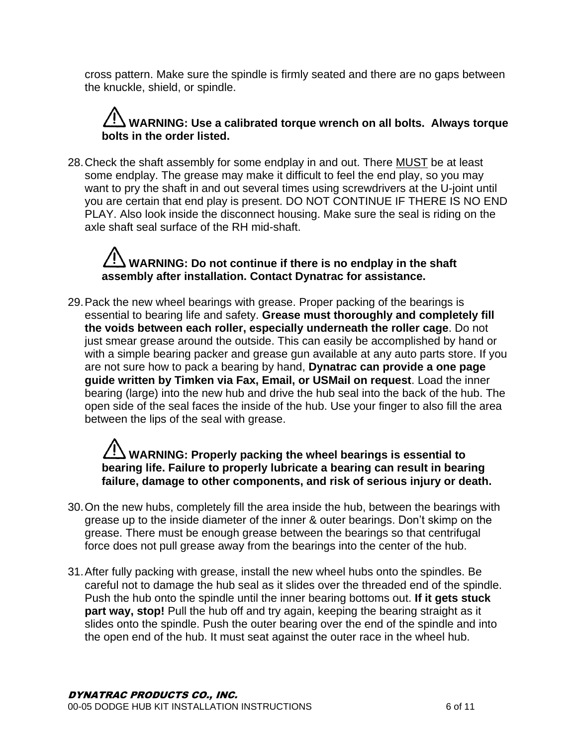cross pattern. Make sure the spindle is firmly seated and there are no gaps between the knuckle, shield, or spindle.

### **WARNING: Use a calibrated torque wrench on all bolts. Always torque bolts in the order listed.**

28.Check the shaft assembly for some endplay in and out. There MUST be at least some endplay. The grease may make it difficult to feel the end play, so you may want to pry the shaft in and out several times using screwdrivers at the U-joint until you are certain that end play is present. DO NOT CONTINUE IF THERE IS NO END PLAY. Also look inside the disconnect housing. Make sure the seal is riding on the axle shaft seal surface of the RH mid-shaft.

### **WARNING: Do not continue if there is no endplay in the shaft assembly after installation. Contact Dynatrac for assistance.**

29.Pack the new wheel bearings with grease. Proper packing of the bearings is essential to bearing life and safety. **Grease must thoroughly and completely fill the voids between each roller, especially underneath the roller cage**. Do not just smear grease around the outside. This can easily be accomplished by hand or with a simple bearing packer and grease gun available at any auto parts store. If you are not sure how to pack a bearing by hand, **Dynatrac can provide a one page guide written by Timken via Fax, Email, or USMail on request**. Load the inner bearing (large) into the new hub and drive the hub seal into the back of the hub. The open side of the seal faces the inside of the hub. Use your finger to also fill the area between the lips of the seal with grease.

### **WARNING: Properly packing the wheel bearings is essential to bearing life. Failure to properly lubricate a bearing can result in bearing failure, damage to other components, and risk of serious injury or death.**

- 30.On the new hubs, completely fill the area inside the hub, between the bearings with grease up to the inside diameter of the inner & outer bearings. Don't skimp on the grease. There must be enough grease between the bearings so that centrifugal force does not pull grease away from the bearings into the center of the hub.
- 31.After fully packing with grease, install the new wheel hubs onto the spindles. Be careful not to damage the hub seal as it slides over the threaded end of the spindle. Push the hub onto the spindle until the inner bearing bottoms out. **If it gets stuck part way, stop!** Pull the hub off and try again, keeping the bearing straight as it slides onto the spindle. Push the outer bearing over the end of the spindle and into the open end of the hub. It must seat against the outer race in the wheel hub.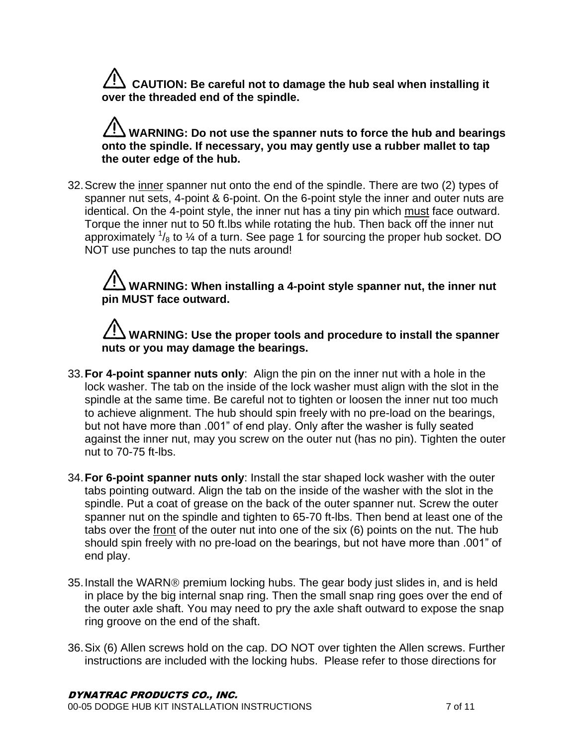**CAUTION: Be careful not to damage the hub seal when installing it over the threaded end of the spindle.**

### **WARNING: Do not use the spanner nuts to force the hub and bearings onto the spindle. If necessary, you may gently use a rubber mallet to tap the outer edge of the hub.**

32.Screw the inner spanner nut onto the end of the spindle. There are two (2) types of spanner nut sets, 4-point & 6-point. On the 6-point style the inner and outer nuts are identical. On the 4-point style, the inner nut has a tiny pin which must face outward. Torque the inner nut to 50 ft.lbs while rotating the hub. Then back off the inner nut approximately  $\frac{1}{8}$  to  $\frac{1}{4}$  of a turn. See page 1 for sourcing the proper hub socket. DO NOT use punches to tap the nuts around!

### **WARNING: When installing a 4-point style spanner nut, the inner nut pin MUST face outward.**

### **WARNING: Use the proper tools and procedure to install the spanner nuts or you may damage the bearings.**

- 33.**For 4-point spanner nuts only**: Align the pin on the inner nut with a hole in the lock washer. The tab on the inside of the lock washer must align with the slot in the spindle at the same time. Be careful not to tighten or loosen the inner nut too much to achieve alignment. The hub should spin freely with no pre-load on the bearings, but not have more than .001" of end play. Only after the washer is fully seated against the inner nut, may you screw on the outer nut (has no pin). Tighten the outer nut to 70-75 ft-lbs.
- 34.**For 6-point spanner nuts only**: Install the star shaped lock washer with the outer tabs pointing outward. Align the tab on the inside of the washer with the slot in the spindle. Put a coat of grease on the back of the outer spanner nut. Screw the outer spanner nut on the spindle and tighten to 65-70 ft-lbs. Then bend at least one of the tabs over the front of the outer nut into one of the six (6) points on the nut. The hub should spin freely with no pre-load on the bearings, but not have more than .001" of end play.
- 35. Install the WARN® premium locking hubs. The gear body just slides in, and is held in place by the big internal snap ring. Then the small snap ring goes over the end of the outer axle shaft. You may need to pry the axle shaft outward to expose the snap ring groove on the end of the shaft.
- 36.Six (6) Allen screws hold on the cap. DO NOT over tighten the Allen screws. Further instructions are included with the locking hubs. Please refer to those directions for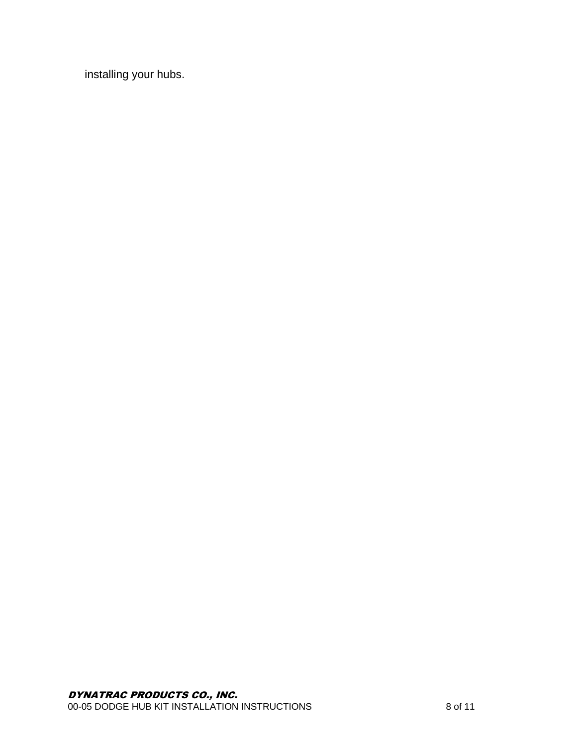installing your hubs.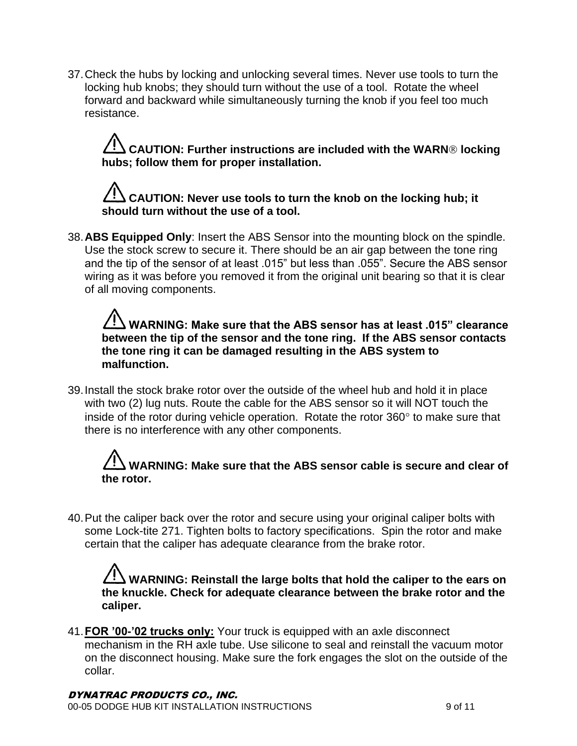37.Check the hubs by locking and unlocking several times. Never use tools to turn the locking hub knobs; they should turn without the use of a tool. Rotate the wheel forward and backward while simultaneously turning the knob if you feel too much resistance.

**CAUTION: Further instructions are included with the WARN® locking hubs; follow them for proper installation.**

### **CAUTION: Never use tools to turn the knob on the locking hub; it should turn without the use of a tool.**

38.**ABS Equipped Only**: Insert the ABS Sensor into the mounting block on the spindle. Use the stock screw to secure it. There should be an air gap between the tone ring and the tip of the sensor of at least .015" but less than .055". Secure the ABS sensor wiring as it was before you removed it from the original unit bearing so that it is clear of all moving components.

**WARNING: Make sure that the ABS sensor has at least .015" clearance between the tip of the sensor and the tone ring. If the ABS sensor contacts the tone ring it can be damaged resulting in the ABS system to malfunction.**

39.Install the stock brake rotor over the outside of the wheel hub and hold it in place with two (2) lug nuts. Route the cable for the ABS sensor so it will NOT touch the inside of the rotor during vehicle operation. Rotate the rotor  $360^\circ$  to make sure that there is no interference with any other components.

### **WARNING: Make sure that the ABS sensor cable is secure and clear of the rotor.**

40.Put the caliper back over the rotor and secure using your original caliper bolts with some Lock-tite 271. Tighten bolts to factory specifications. Spin the rotor and make certain that the caliper has adequate clearance from the brake rotor.

**WARNING: Reinstall the large bolts that hold the caliper to the ears on the knuckle. Check for adequate clearance between the brake rotor and the caliper.**

41.**FOR '00-'02 trucks only:** Your truck is equipped with an axle disconnect mechanism in the RH axle tube. Use silicone to seal and reinstall the vacuum motor on the disconnect housing. Make sure the fork engages the slot on the outside of the collar.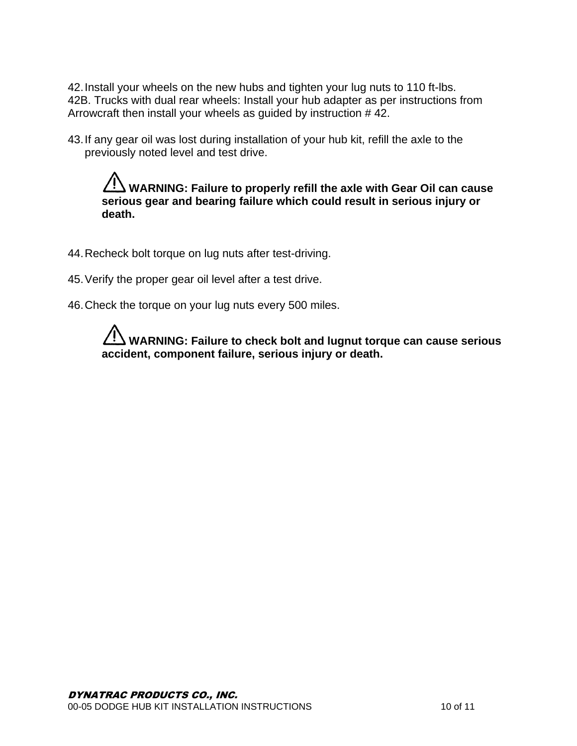42.Install your wheels on the new hubs and tighten your lug nuts to 110 ft-lbs. 42B. Trucks with dual rear wheels: Install your hub adapter as per instructions from Arrowcraft then install your wheels as guided by instruction # 42.

43.If any gear oil was lost during installation of your hub kit, refill the axle to the previously noted level and test drive.

**WARNING: Failure to properly refill the axle with Gear Oil can cause serious gear and bearing failure which could result in serious injury or death.**

- 44.Recheck bolt torque on lug nuts after test-driving.
- 45.Verify the proper gear oil level after a test drive.
- 46.Check the torque on your lug nuts every 500 miles.

**WARNING: Failure to check bolt and lugnut torque can cause serious accident, component failure, serious injury or death.**